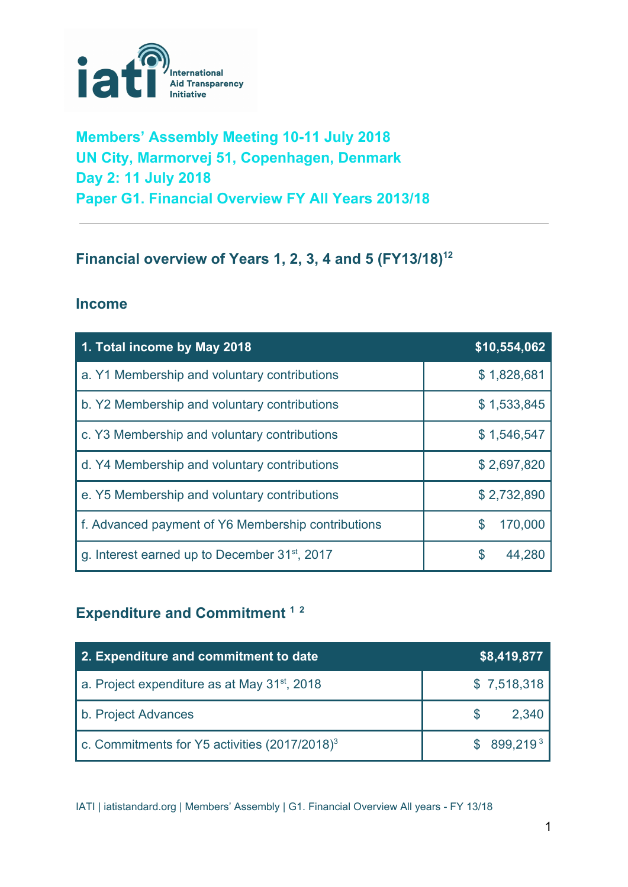

## **Members' Assembly Meeting 10-11 July 2018 UN City, Marmorvej 51, Copenhagen, Denmark Day 2: 11 July 2018 Paper G1. Financial Overview FY All Years 2013/18**

## **Financial overview of Years 1, 2, 3, 4 and 5 (FY13/18) 12**

#### **Income**

| 1. Total income by May 2018                               | \$10,554,062  |
|-----------------------------------------------------------|---------------|
| a. Y1 Membership and voluntary contributions              | \$1,828,681   |
| b. Y2 Membership and voluntary contributions              | \$1,533,845   |
| c. Y3 Membership and voluntary contributions              | \$1,546,547   |
| d. Y4 Membership and voluntary contributions              | \$2,697,820   |
| e. Y5 Membership and voluntary contributions              | \$2,732,890   |
| f. Advanced payment of Y6 Membership contributions        | 170,000<br>\$ |
| g. Interest earned up to December 31 <sup>st</sup> , 2017 | \$<br>44,280  |

# **Expenditure and Commitment 1 2**

| 2. Expenditure and commitment to date                       | \$8,419,877            |
|-------------------------------------------------------------|------------------------|
| a. Project expenditure as at May 31 <sup>st</sup> , 2018    | \$7,518,318            |
| b. Project Advances                                         | 2,340                  |
| c. Commitments for $Y5$ activities (2017/2018) <sup>3</sup> | \$899.219 <sup>3</sup> |

IATI | iatistandard.org | Members' Assembly | G1. Financial Overview All years - FY 13/18